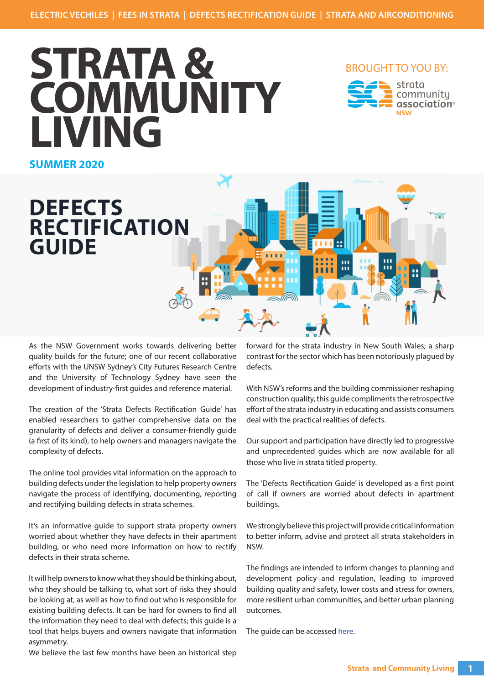# **SUMMER 2020 STRATA & COMMUNITY LIVING**

### BROUGHT TO YOU BY:



**RECTIFICATION** 

**DEFECTS** 

**GUIDE**

As the NSW Government works towards delivering better quality builds for the future; one of our recent collaborative efforts with the UNSW Sydney's City Futures Research Centre and the University of Technology Sydney have seen the development of industry-first guides and reference material.

The creation of the 'Strata Defects Rectification Guide' has enabled researchers to gather comprehensive data on the granularity of defects and deliver a consumer-friendly guide (a first of its kind), to help owners and managers navigate the complexity of defects.

The online tool provides vital information on the approach to building defects under the legislation to help property owners navigate the process of identifying, documenting, reporting and rectifying building defects in strata schemes.

It's an informative guide to support strata property owners worried about whether they have defects in their apartment building, or who need more information on how to rectify defects in their strata scheme.

It will help owners to know what they should be thinking about, who they should be talking to, what sort of risks they should be looking at, as well as how to find out who is responsible for existing building defects. It can be hard for owners to find all the information they need to deal with defects; this guide is a tool that helps buyers and owners navigate that information asymmetry.

We believe the last few months have been an historical step

forward for the strata industry in New South Wales; a sharp contrast for the sector which has been notoriously plagued by defects.

With NSW's reforms and the building commissioner reshaping construction quality, this guide compliments the retrospective effort of the strata industry in educating and assists consumers deal with the practical realities of defects.

Our support and participation have directly led to progressive and unprecedented guides which are now available for all those who live in strata titled property.

The 'Defects Rectification Guide' is developed as a first point of call if owners are worried about defects in apartment buildings.

We strongly believe this project will provide critical information to better inform, advise and protect all strata stakeholders in NSW.

The findings are intended to inform changes to planning and development policy and regulation, leading to improved building quality and safety, lower costs and stress for owners, more resilient urban communities, and better urban planning outcomes.

The guide can be accessed [here.]( https://cityfutures.be.unsw.edu.au/research/projects/defect-rectification/)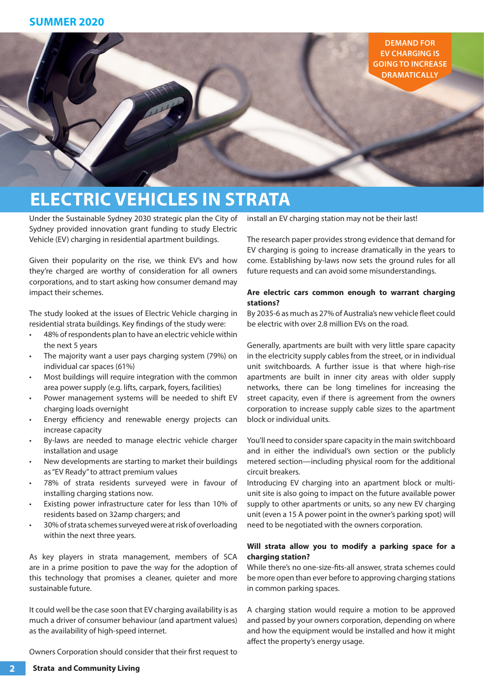

# **ELECTRIC VEHICLES IN STRATA**

Under the Sustainable Sydney 2030 strategic plan the City of Sydney provided innovation grant funding to study Electric Vehicle (EV) charging in residential apartment buildings.

Given their popularity on the rise, we think EV's and how they're charged are worthy of consideration for all owners corporations, and to start asking how consumer demand may impact their schemes.

The study looked at the issues of Electric Vehicle charging in residential strata buildings. Key findings of the study were:

- 48% of respondents plan to have an electric vehicle within the next 5 years
- The majority want a user pays charging system (79%) on individual car spaces (61%)
- Most buildings will require integration with the common area power supply (e.g. lifts, carpark, foyers, facilities)
- Power management systems will be needed to shift EV charging loads overnight
- Energy efficiency and renewable energy projects can increase capacity
- By-laws are needed to manage electric vehicle charger installation and usage
- New developments are starting to market their buildings as "EV Ready" to attract premium values
- 78% of strata residents surveyed were in favour of installing charging stations now.
- Existing power infrastructure cater for less than 10% of residents based on 32amp chargers; and
- 30% of strata schemes surveyed were at risk of overloading within the next three years.

As key players in strata management, members of SCA are in a prime position to pave the way for the adoption of this technology that promises a cleaner, quieter and more sustainable future.

It could well be the case soon that EV charging availability is as much a driver of consumer behaviour (and apartment values) as the availability of high-speed internet.

Owners Corporation should consider that their first request to

install an EV charging station may not be their last!

The research paper provides strong evidence that demand for EV charging is going to increase dramatically in the years to come. Establishing by-laws now sets the ground rules for all future requests and can avoid some misunderstandings.

### **Are electric cars common enough to warrant charging stations?**

By 2035-6 as much as 27% of Australia's new vehicle fleet could be electric with over 2.8 million EVs on the road.

Generally, apartments are built with very little spare capacity in the electricity supply cables from the street, or in individual unit switchboards. A further issue is that where high-rise apartments are built in inner city areas with older supply networks, there can be long timelines for increasing the street capacity, even if there is agreement from the owners corporation to increase supply cable sizes to the apartment block or individual units.

You'll need to consider spare capacity in the main switchboard and in either the individual's own section or the publicly metered section—including physical room for the additional circuit breakers.

Introducing EV charging into an apartment block or multiunit site is also going to impact on the future available power supply to other apartments or units, so any new EV charging unit (even a 15 A power point in the owner's parking spot) will need to be negotiated with the owners corporation.

### **Will strata allow you to modify a parking space for a charging station?**

While there's no one-size-fits-all answer, strata schemes could be more open than ever before to approving charging stations in common parking spaces.

A charging station would require a motion to be approved and passed by your owners corporation, depending on where and how the equipment would be installed and how it might affect the property's energy usage.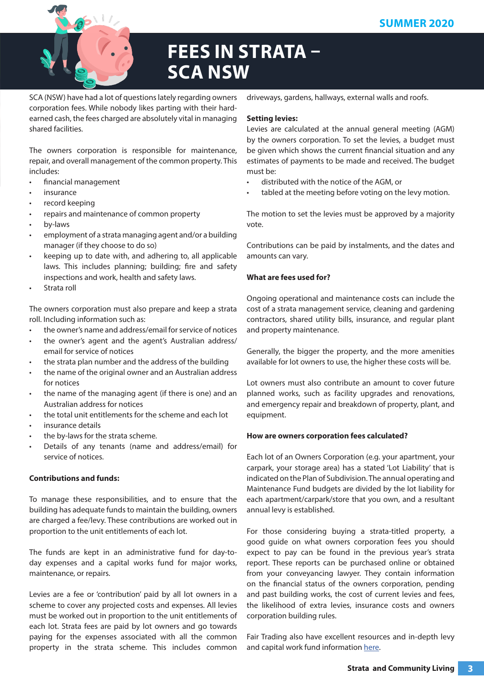

# **FEES IN STRATA – SCA NSW**

SCA (NSW) have had a lot of questions lately regarding owners corporation fees. While nobody likes parting with their hardearned cash, the fees charged are absolutely vital in managing shared facilities.

The owners corporation is responsible for maintenance, repair, and overall management of the common property. This includes:

- financial management
- insurance
- record keeping
- repairs and maintenance of common property
- by-laws
- employment of a strata managing agent and/or a building manager (if they choose to do so)
- keeping up to date with, and adhering to, all applicable laws. This includes planning; building; fire and safety inspections and work, health and safety laws.
- Strata roll

The owners corporation must also prepare and keep a strata roll. Including information such as:

- the owner's name and address/email for service of notices
- the owner's agent and the agent's Australian address/ email for service of notices
- the strata plan number and the address of the building
- the name of the original owner and an Australian address for notices
- the name of the managing agent (if there is one) and an Australian address for notices
- the total unit entitlements for the scheme and each lot
- insurance details
- the by-laws for the strata scheme.
- Details of any tenants (name and address/email) for service of notices.

#### **Contributions and funds:**

To manage these responsibilities, and to ensure that the building has adequate funds to maintain the building, owners are charged a fee/levy. These contributions are worked out in proportion to the unit entitlements of each lot.

The funds are kept in an administrative fund for day-today expenses and a capital works fund for major works, maintenance, or repairs.

Levies are a fee or 'contribution' paid by all lot owners in a scheme to cover any projected costs and expenses. All levies must be worked out in proportion to the unit entitlements of each lot. Strata fees are paid by lot owners and go towards paying for the expenses associated with all the common property in the strata scheme. This includes common

driveways, gardens, hallways, external walls and roofs.

#### **Setting levies:**

Levies are calculated at the annual general meeting (AGM) by the owners corporation. To set the levies, a budget must be given which shows the current financial situation and any estimates of payments to be made and received. The budget must be:

- distributed with the notice of the AGM, or
- tabled at the meeting before voting on the levy motion.

The motion to set the levies must be approved by a majority vote.

Contributions can be paid by instalments, and the dates and amounts can vary.

#### **What are fees used for?**

Ongoing operational and maintenance costs can include the cost of a strata management service, cleaning and gardening contractors, shared utility bills, insurance, and regular plant and property maintenance.

Generally, the bigger the property, and the more amenities available for lot owners to use, the higher these costs will be.

Lot owners must also contribute an amount to cover future planned works, such as facility upgrades and renovations, and emergency repair and breakdown of property, plant, and equipment.

#### **How are owners corporation fees calculated?**

Each lot of an Owners Corporation (e.g. your apartment, your carpark, your storage area) has a stated 'Lot Liability' that is indicated on the Plan of Subdivision. The annual operating and Maintenance Fund budgets are divided by the lot liability for each apartment/carpark/store that you own, and a resultant annual levy is established.

For those considering buying a strata-titled property, a good guide on what owners corporation fees you should expect to pay can be found in the previous year's strata report. These reports can be purchased online or obtained from your conveyancing lawyer. They contain information on the financial status of the owners corporation, pending and past building works, the cost of current levies and fees, the likelihood of extra levies, insurance costs and owners corporation building rules.

Fair Trading also have excellent resources and in-depth levy and capital work fund information [here](https://www.fairtrading.nsw.gov.au/housing-and-property/strata-and-community-living/strata-schemes/levies-and-capital-works-funds).